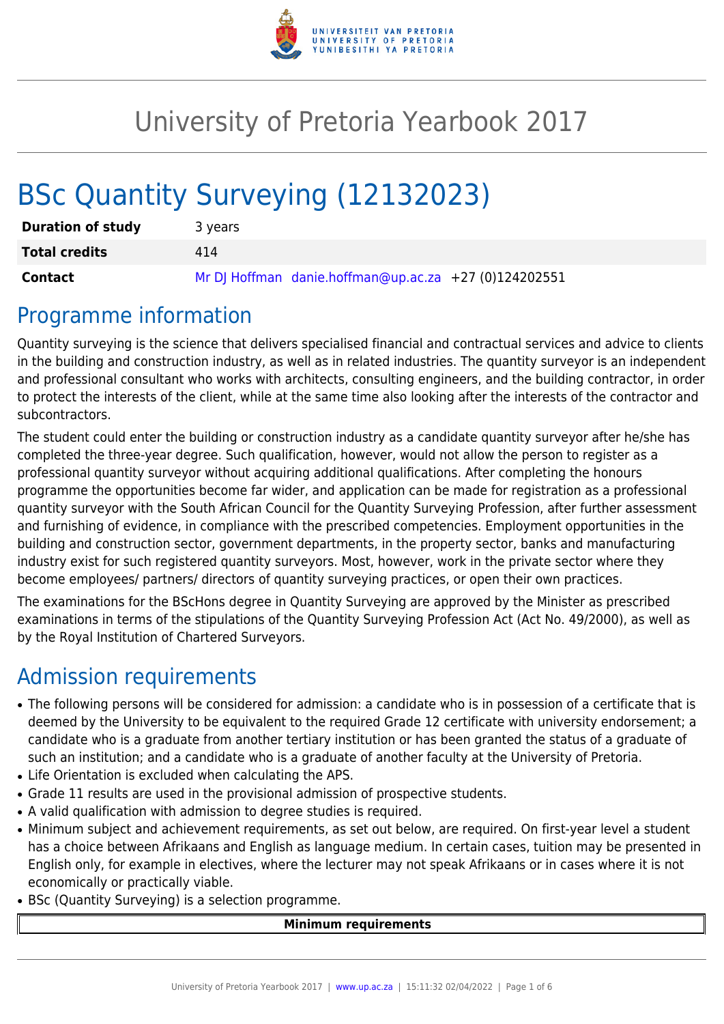

## University of Pretoria Yearbook 2017

# BSc Quantity Surveying (12132023)

| <b>Duration of study</b> | 3 years                                               |  |  |  |  |  |  |  |  |
|--------------------------|-------------------------------------------------------|--|--|--|--|--|--|--|--|
| <b>Total credits</b>     | 414                                                   |  |  |  |  |  |  |  |  |
| <b>Contact</b>           | Mr DJ Hoffman danie.hoffman@up.ac.za +27 (0)124202551 |  |  |  |  |  |  |  |  |

### Programme information

Quantity surveying is the science that delivers specialised financial and contractual services and advice to clients in the building and construction industry, as well as in related industries. The quantity surveyor is an independent and professional consultant who works with architects, consulting engineers, and the building contractor, in order to protect the interests of the client, while at the same time also looking after the interests of the contractor and subcontractors.

The student could enter the building or construction industry as a candidate quantity surveyor after he/she has completed the three-year degree. Such qualification, however, would not allow the person to register as a professional quantity surveyor without acquiring additional qualifications. After completing the honours programme the opportunities become far wider, and application can be made for registration as a professional quantity surveyor with the South African Council for the Quantity Surveying Profession, after further assessment and furnishing of evidence, in compliance with the prescribed competencies. Employment opportunities in the building and construction sector, government departments, in the property sector, banks and manufacturing industry exist for such registered quantity surveyors. Most, however, work in the private sector where they become employees/ partners/ directors of quantity surveying practices, or open their own practices.

The examinations for the BScHons degree in Quantity Surveying are approved by the Minister as prescribed examinations in terms of the stipulations of the Quantity Surveying Profession Act (Act No. 49/2000), as well as by the Royal Institution of Chartered Surveyors.

### Admission requirements

- The following persons will be considered for admission: a candidate who is in possession of a certificate that is deemed by the University to be equivalent to the required Grade 12 certificate with university endorsement; a candidate who is a graduate from another tertiary institution or has been granted the status of a graduate of such an institution; and a candidate who is a graduate of another faculty at the University of Pretoria.
- Life Orientation is excluded when calculating the APS.
- Grade 11 results are used in the provisional admission of prospective students.
- A valid qualification with admission to degree studies is required.
- Minimum subject and achievement requirements, as set out below, are required. On first-year level a student has a choice between Afrikaans and English as language medium. In certain cases, tuition may be presented in English only, for example in electives, where the lecturer may not speak Afrikaans or in cases where it is not economically or practically viable.
- BSc (Quantity Surveying) is a selection programme.

#### **Minimum requirements**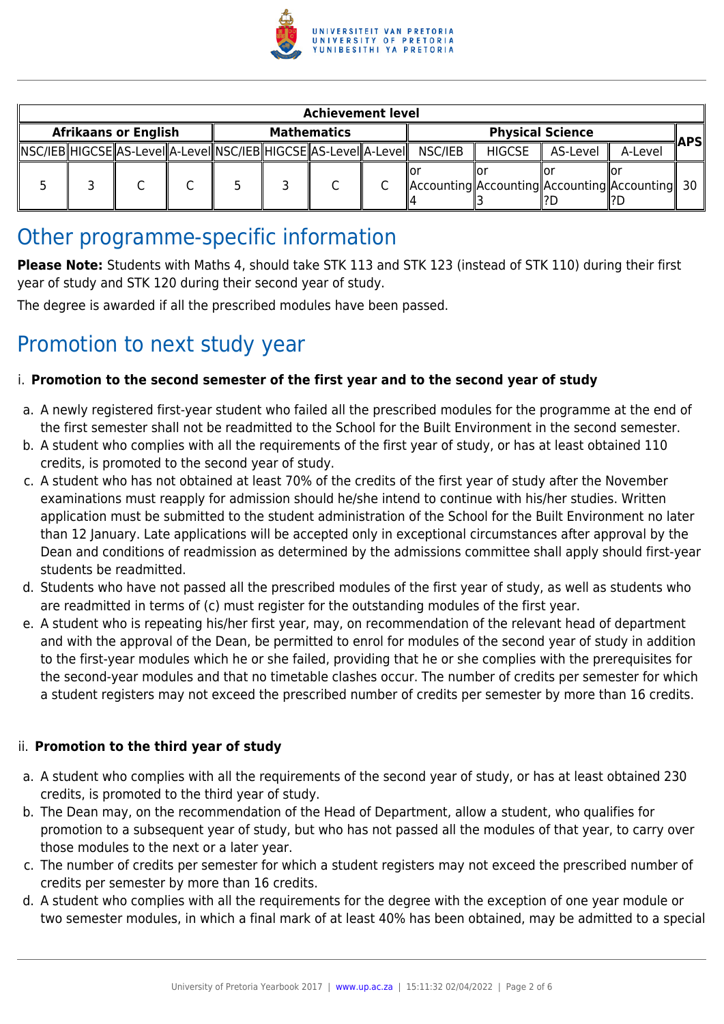

|                             | <b>Achievement level</b> |  |  |                    |  |                                                                        |                         |         |               |                                                     |            |  |  |
|-----------------------------|--------------------------|--|--|--------------------|--|------------------------------------------------------------------------|-------------------------|---------|---------------|-----------------------------------------------------|------------|--|--|
| <b>Afrikaans or English</b> |                          |  |  | <b>Mathematics</b> |  |                                                                        | <b>Physical Science</b> |         |               |                                                     | <b>APS</b> |  |  |
|                             |                          |  |  |                    |  | NSC/IEB  HIGCSE  AS-Level  A-Level  NSC/IEB  HIGCSE  AS-Level  A-Level |                         | NSC/IEB | <b>HIGCSE</b> | AS-Level                                            | A-Level    |  |  |
|                             |                          |  |  |                    |  |                                                                        |                         |         |               | Accounting  Accounting  Accounting  Accounting   30 |            |  |  |

### Other programme-specific information

**Please Note:** Students with Maths 4, should take STK 113 and STK 123 (instead of STK 110) during their first year of study and STK 120 during their second year of study.

The degree is awarded if all the prescribed modules have been passed.

### Promotion to next study year

#### i. **Promotion to the second semester of the first year and to the second year of study**

- a. A newly registered first-year student who failed all the prescribed modules for the programme at the end of the first semester shall not be readmitted to the School for the Built Environment in the second semester.
- b. A student who complies with all the requirements of the first year of study, or has at least obtained 110 credits, is promoted to the second year of study.
- c. A student who has not obtained at least 70% of the credits of the first year of study after the November examinations must reapply for admission should he/she intend to continue with his/her studies. Written application must be submitted to the student administration of the School for the Built Environment no later than 12 January. Late applications will be accepted only in exceptional circumstances after approval by the Dean and conditions of readmission as determined by the admissions committee shall apply should first-year students be readmitted.
- d. Students who have not passed all the prescribed modules of the first year of study, as well as students who are readmitted in terms of (c) must register for the outstanding modules of the first year.
- e. A student who is repeating his/her first year, may, on recommendation of the relevant head of department and with the approval of the Dean, be permitted to enrol for modules of the second year of study in addition to the first-year modules which he or she failed, providing that he or she complies with the prerequisites for the second-year modules and that no timetable clashes occur. The number of credits per semester for which a student registers may not exceed the prescribed number of credits per semester by more than 16 credits.

#### ii. **Promotion to the third year of study**

- a. A student who complies with all the requirements of the second year of study, or has at least obtained 230 credits, is promoted to the third year of study.
- b. The Dean may, on the recommendation of the Head of Department, allow a student, who qualifies for promotion to a subsequent year of study, but who has not passed all the modules of that year, to carry over those modules to the next or a later year.
- c. The number of credits per semester for which a student registers may not exceed the prescribed number of credits per semester by more than 16 credits.
- d. A student who complies with all the requirements for the degree with the exception of one year module or two semester modules, in which a final mark of at least 40% has been obtained, may be admitted to a special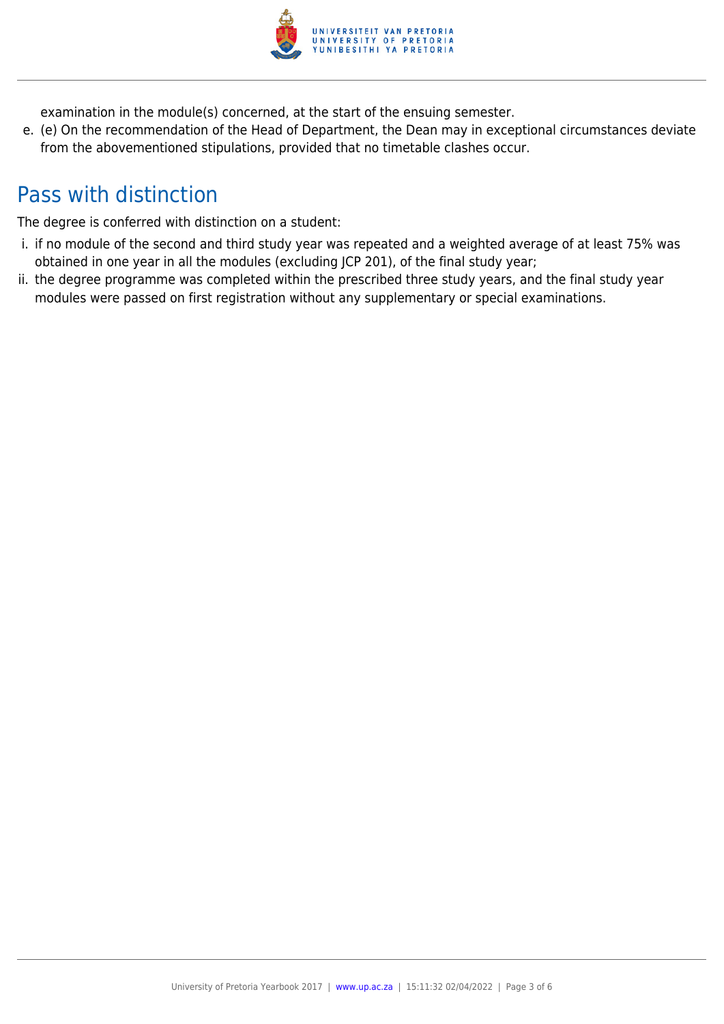

examination in the module(s) concerned, at the start of the ensuing semester.

e. (e) On the recommendation of the Head of Department, the Dean may in exceptional circumstances deviate from the abovementioned stipulations, provided that no timetable clashes occur.

### Pass with distinction

The degree is conferred with distinction on a student:

- i. if no module of the second and third study year was repeated and a weighted average of at least 75% was obtained in one year in all the modules (excluding JCP 201), of the final study year;
- ii. the degree programme was completed within the prescribed three study years, and the final study year modules were passed on first registration without any supplementary or special examinations.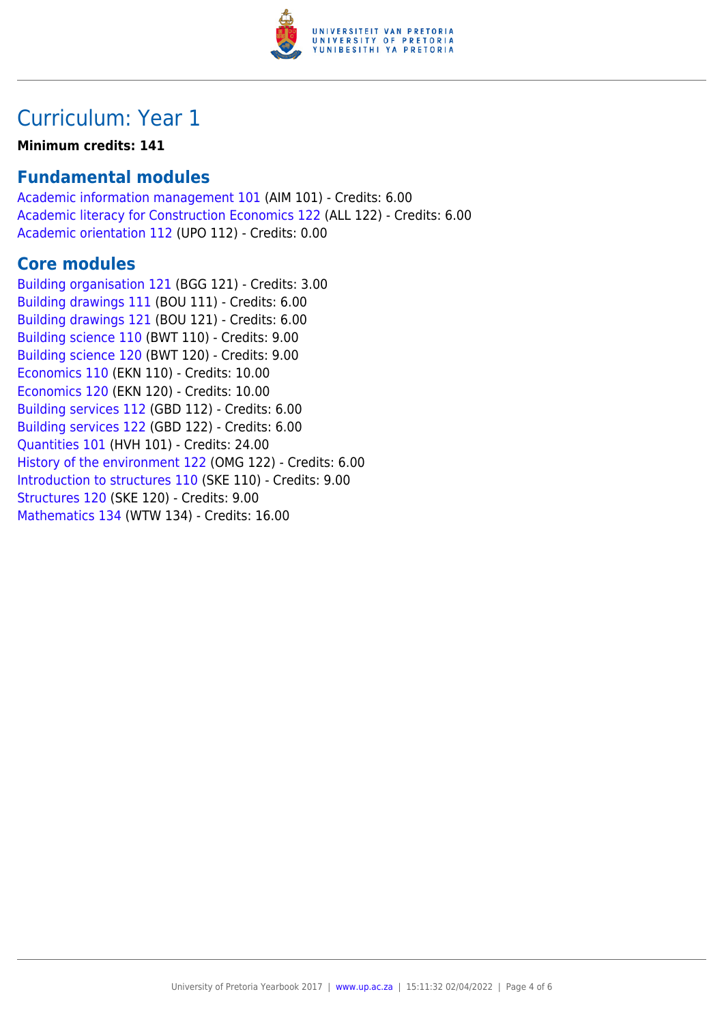

### Curriculum: Year 1

#### **Minimum credits: 141**

### **Fundamental modules**

[Academic information management 101](https://www.up.ac.za/parents/yearbooks/2017/modules/view/AIM 101) (AIM 101) - Credits: 6.00 [Academic literacy for Construction Economics 122](https://www.up.ac.za/parents/yearbooks/2017/modules/view/ALL 122) (ALL 122) - Credits: 6.00 [Academic orientation 112](https://www.up.ac.za/parents/yearbooks/2017/modules/view/UPO 112) (UPO 112) - Credits: 0.00

### **Core modules**

[Building organisation 121](https://www.up.ac.za/parents/yearbooks/2017/modules/view/BGG 121) (BGG 121) - Credits: 3.00 [Building drawings 111](https://www.up.ac.za/parents/yearbooks/2017/modules/view/BOU 111) (BOU 111) - Credits: 6.00 [Building drawings 121](https://www.up.ac.za/parents/yearbooks/2017/modules/view/BOU 121) (BOU 121) - Credits: 6.00 [Building science 110](https://www.up.ac.za/parents/yearbooks/2017/modules/view/BWT 110) (BWT 110) - Credits: 9.00 [Building science 120](https://www.up.ac.za/parents/yearbooks/2017/modules/view/BWT 120) (BWT 120) - Credits: 9.00 [Economics 110](https://www.up.ac.za/parents/yearbooks/2017/modules/view/EKN 110) (EKN 110) - Credits: 10.00 [Economics 120](https://www.up.ac.za/parents/yearbooks/2017/modules/view/EKN 120) (EKN 120) - Credits: 10.00 [Building services 112](https://www.up.ac.za/parents/yearbooks/2017/modules/view/GBD 112) (GBD 112) - Credits: 6.00 [Building services 122](https://www.up.ac.za/parents/yearbooks/2017/modules/view/GBD 122) (GBD 122) - Credits: 6.00 [Quantities 101](https://www.up.ac.za/parents/yearbooks/2017/modules/view/HVH 101) (HVH 101) - Credits: 24.00 [History of the environment 122](https://www.up.ac.za/parents/yearbooks/2017/modules/view/OMG 122) (OMG 122) - Credits: 6.00 [Introduction to structures 110](https://www.up.ac.za/parents/yearbooks/2017/modules/view/SKE 110) (SKE 110) - Credits: 9.00 [Structures 120](https://www.up.ac.za/parents/yearbooks/2017/modules/view/SKE 120) (SKE 120) - Credits: 9.00 [Mathematics 134](https://www.up.ac.za/parents/yearbooks/2017/modules/view/WTW 134) (WTW 134) - Credits: 16.00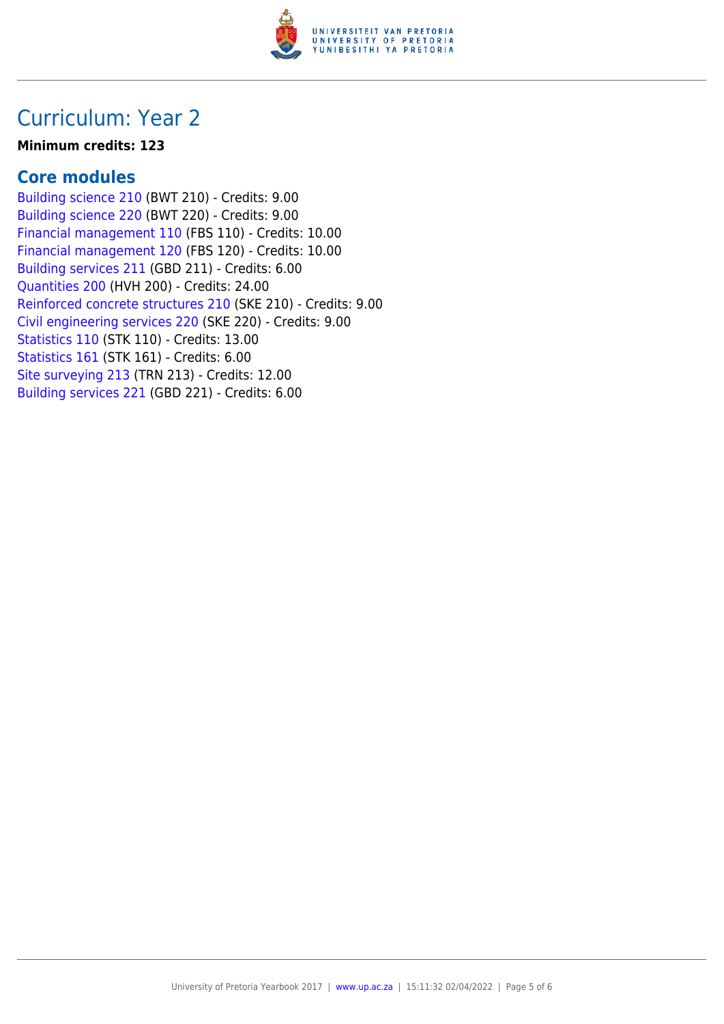

### Curriculum: Year 2

#### **Minimum credits: 123**

### **Core modules**

[Building science 210](https://www.up.ac.za/parents/yearbooks/2017/modules/view/BWT 210) (BWT 210) - Credits: 9.00 [Building science 220](https://www.up.ac.za/parents/yearbooks/2017/modules/view/BWT 220) (BWT 220) - Credits: 9.00 [Financial management 110](https://www.up.ac.za/parents/yearbooks/2017/modules/view/FBS 110) (FBS 110) - Credits: 10.00 [Financial management 120](https://www.up.ac.za/parents/yearbooks/2017/modules/view/FBS 120) (FBS 120) - Credits: 10.00 [Building services 211](https://www.up.ac.za/parents/yearbooks/2017/modules/view/GBD 211) (GBD 211) - Credits: 6.00 [Quantities 200](https://www.up.ac.za/parents/yearbooks/2017/modules/view/HVH 200) (HVH 200) - Credits: 24.00 [Reinforced concrete structures 210](https://www.up.ac.za/parents/yearbooks/2017/modules/view/SKE 210) (SKE 210) - Credits: 9.00 [Civil engineering services 220](https://www.up.ac.za/parents/yearbooks/2017/modules/view/SKE 220) (SKE 220) - Credits: 9.00 [Statistics 110](https://www.up.ac.za/parents/yearbooks/2017/modules/view/STK 110) (STK 110) - Credits: 13.00 [Statistics 161](https://www.up.ac.za/parents/yearbooks/2017/modules/view/STK 161) (STK 161) - Credits: 6.00 [Site surveying 213](https://www.up.ac.za/parents/yearbooks/2017/modules/view/TRN 213) (TRN 213) - Credits: 12.00 [Building services 221](https://www.up.ac.za/parents/yearbooks/2017/modules/view/GBD 221) (GBD 221) - Credits: 6.00